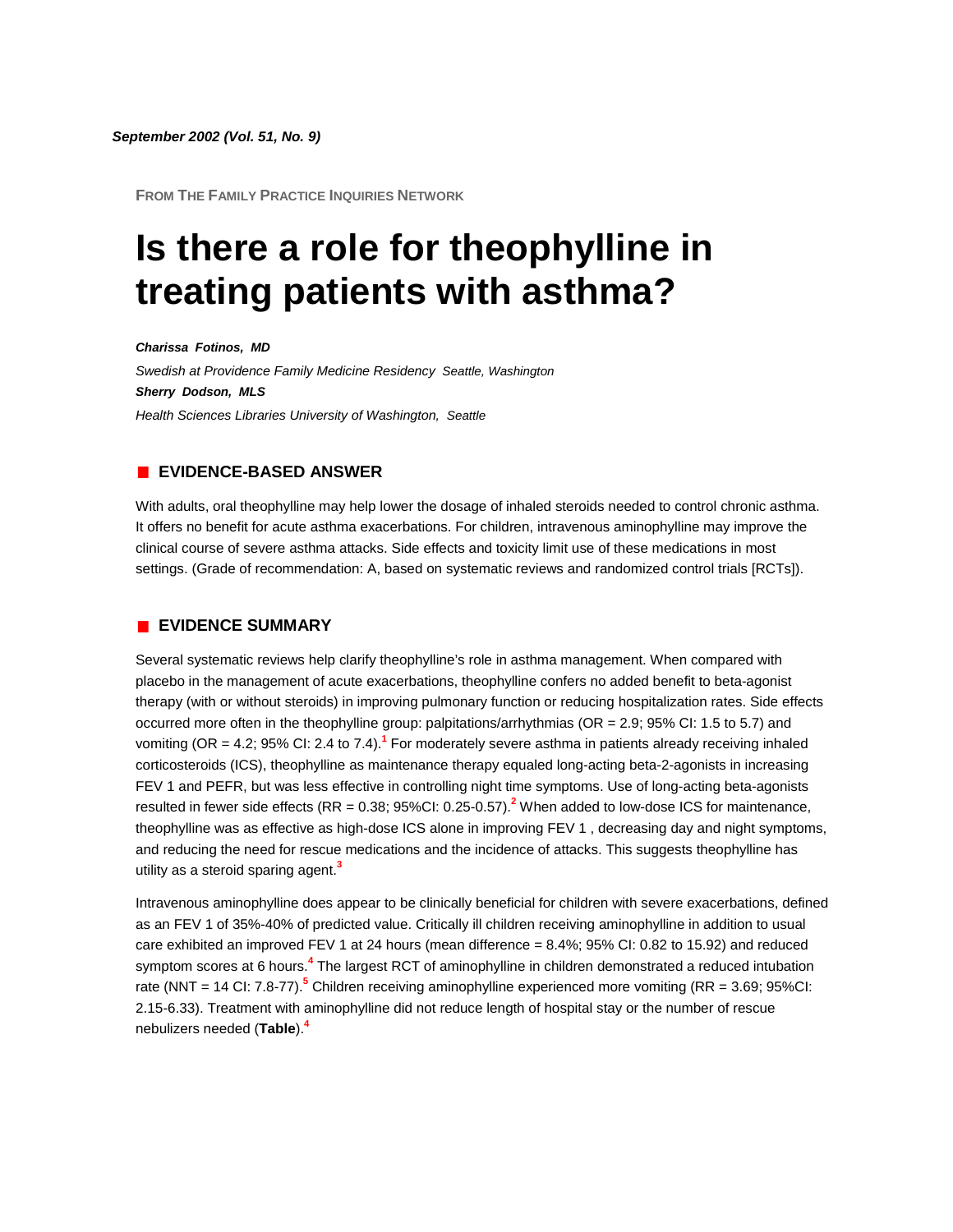**FROM THE FAMILY PRACTICE INQUIRIES NETWORK**

# **Is there a role for theophylline in treating patients with asthma?**

*Charissa Fotinos, MD Swedish at Providence Family Medicine Residency Seattle, Washington Sherry Dodson, MLS Health Sciences Libraries University of Washington, Seattle*

### **EVIDENCE-BASED ANSWER**

With adults, oral theophylline may help lower the dosage of inhaled steroids needed to control chronic asthma. It offers no benefit for acute asthma exacerbations. For children, intravenous aminophylline may improve the clinical course of severe asthma attacks. Side effects and toxicity limit use of these medications in most settings. (Grade of recommendation: A, based on systematic reviews and randomized control trials [RCTs]).

#### **EVIDENCE SUMMARY**

Several systematic reviews help clarify theophylline's role in asthma management. When compared with placebo in the management of acute exacerbations, theophylline confers no added benefit to beta-agonist therapy (with or without steroids) in improving pulmonary function or reducing hospitalization rates. Side effects occurred more often in the theophylline group: palpitations/arrhythmias (OR = 2.9; 95% CI: 1.5 to 5.7) and vomiting (OR = 4.2; 95% CI: 2.4 to 7.4).**[1](http://www.jfponline.com/Pages.asp?AID=1279&issue=September_2002&UID=#bib1)** For moderately severe asthma in patients already receiving inhaled corticosteroids (ICS), theophylline as maintenance therapy equaled long-acting beta-2-agonists in increasing FEV 1 and PEFR, but was less effective in controlling night time symptoms. Use of long-acting beta-agonists resulted in fewer side effects (RR = 0.38; 95%CI: 0.25-0.57).**[2](http://www.jfponline.com/Pages.asp?AID=1279&issue=September_2002&UID=#bib2)** When added to low-dose ICS for maintenance, theophylline was as effective as high-dose ICS alone in improving FEV 1 , decreasing day and night symptoms, and reducing the need for rescue medications and the incidence of attacks. This suggests theophylline has utility as a steroid sparing agent[.](http://www.jfponline.com/Pages.asp?AID=1279&issue=September_2002&UID=#bib3)**<sup>3</sup>**

Intravenous aminophylline does appear to be clinically beneficial for children with severe exacerbations, defined as an FEV 1 of 35%-40% of predicted value. Critically ill children receiving aminophylline in addition to usual care exhibited an improved FEV 1 at 24 hours (mean difference =  $8.4\%$ ; 95% CI: 0.82 to 15.92) and reduced symptom scores at 6 hour[s.](http://www.jfponline.com/Pages.asp?AID=1279&issue=September_2002&UID=#bib4)**<sup>4</sup>** The largest RCT of aminophylline in children demonstrated a reduced intubation rate (NNT = 14 CI: 7.8-77[\).](http://www.jfponline.com/Pages.asp?AID=1279&issue=September_2002&UID=#bib5)**<sup>5</sup>** Children receiving aminophylline experienced more vomiting (RR = 3.69; 95%CI: 2.15-6.33). Treatment with aminophylline did not reduce length of hospital stay or the number of rescue nebulizers needed (**[Table](http://www.jfponline.com/Pages.asp?AID=1279&issue=September_2002&UID=#5109JFP_ClinicalInquiries3-tab1)**[\).](http://www.jfponline.com/Pages.asp?AID=1279&issue=September_2002&UID=#bib4)**<sup>4</sup>**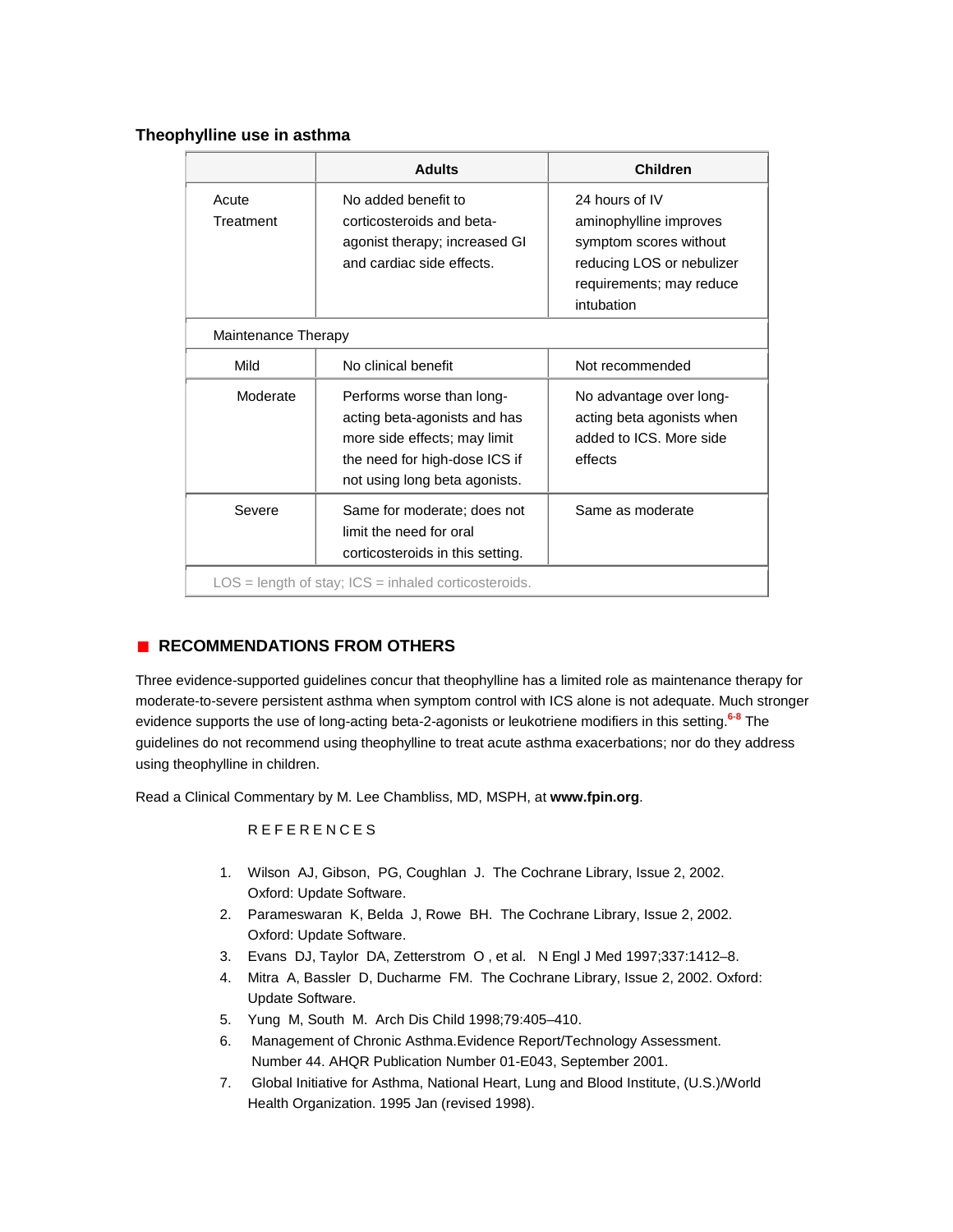## **Theophylline use in asthma**

|                                                        | <b>Adults</b>                                                                                                                                               | <b>Children</b>                                                                                                                           |
|--------------------------------------------------------|-------------------------------------------------------------------------------------------------------------------------------------------------------------|-------------------------------------------------------------------------------------------------------------------------------------------|
| Acute<br>Treatment                                     | No added benefit to<br>corticosteroids and beta-<br>agonist therapy; increased GI<br>and cardiac side effects.                                              | 24 hours of IV<br>aminophylline improves<br>symptom scores without<br>reducing LOS or nebulizer<br>requirements; may reduce<br>intubation |
| Maintenance Therapy                                    |                                                                                                                                                             |                                                                                                                                           |
| Mild                                                   | No clinical benefit                                                                                                                                         | Not recommended                                                                                                                           |
| Moderate                                               | Performs worse than long-<br>acting beta-agonists and has<br>more side effects; may limit<br>the need for high-dose ICS if<br>not using long beta agonists. | No advantage over long-<br>acting beta agonists when<br>added to ICS. More side<br>effects                                                |
| Severe                                                 | Same for moderate; does not<br>limit the need for oral<br>corticosteroids in this setting.                                                                  | Same as moderate                                                                                                                          |
| $LOS = length of stay; ICS = inhaled corticosteroids.$ |                                                                                                                                                             |                                                                                                                                           |

## **RECOMMENDATIONS FROM OTHERS**

Three evidence-supported guidelines concur that theophylline has a limited role as maintenance therapy for moderate-to-severe persistent asthma when symptom control with ICS alone is not adequate. Much stronger evidence supports the use of long-acting beta-2-agonists or leukotriene modifiers in this settin[g.](http://www.jfponline.com/Pages.asp?AID=1279&issue=September_2002&UID=#bib6)**<sup>6</sup>**-**[8](http://www.jfponline.com/Pages.asp?AID=1279&issue=September_2002&UID=#bib8)** The guidelines do not recommend using theophylline to treat acute asthma exacerbations; nor do they address using theophylline in children.

Read a Clinical Commentary by M. Lee Chambliss, MD, MSPH, at **[www.fpin.org](http://www.fpin.org/)**.

## REFERENCES

- 1. Wilson AJ, Gibson, PG, Coughlan J. The Cochrane Library, Issue 2, 2002. Oxford: Update Software.
- 2. Parameswaran K, Belda J, Rowe BH. The Cochrane Library, Issue 2, 2002. Oxford: Update Software.
- 3. Evans DJ, Taylor DA, Zetterstrom O , et al. N Engl J Med 1997;337:1412–8.
- 4. Mitra A, Bassler D, Ducharme FM. The Cochrane Library, Issue 2, 2002. Oxford: Update Software.
- 5. Yung M, South M. Arch Dis Child 1998;79:405–410.
- 6. Management of Chronic Asthma.Evidence Report/Technology Assessment. Number 44. AHQR Publication Number 01-E043, September 2001.
- 7. Global Initiative for Asthma, National Heart, Lung and Blood Institute, (U.S.)/World Health Organization. 1995 Jan (revised 1998).